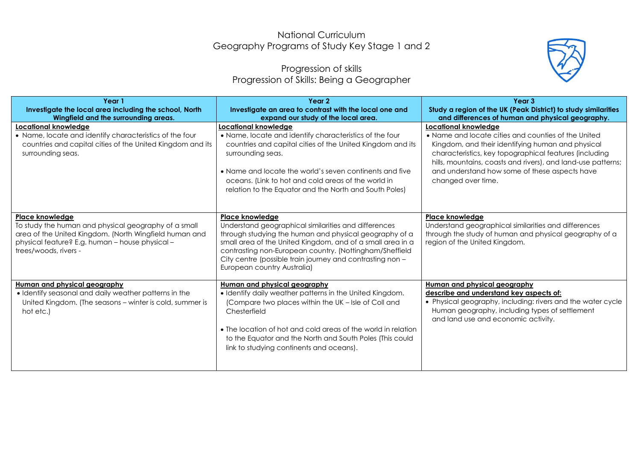## National Curriculum Geography Programs of Study Key Stage 1 and 2

## Progression of skills Progression of Skills: Being a Geographer



| Year 1<br>Investigate the local area including the school, North<br>Wingfield and the surrounding areas.                                                                                                      | Year <sub>2</sub><br>Investigate an area to contrast with the local one and<br>expand our study of the local area.                                                                                                                                                                                                                                     | Year <sub>3</sub><br>Study a region of the UK (Peak District) to study similarities<br>and differences of human and physical geography.                                                                                                                                                                                                  |
|---------------------------------------------------------------------------------------------------------------------------------------------------------------------------------------------------------------|--------------------------------------------------------------------------------------------------------------------------------------------------------------------------------------------------------------------------------------------------------------------------------------------------------------------------------------------------------|------------------------------------------------------------------------------------------------------------------------------------------------------------------------------------------------------------------------------------------------------------------------------------------------------------------------------------------|
| <b>Locational knowledge</b><br>• Name, locate and identify characteristics of the four<br>countries and capital cities of the United Kingdom and its<br>surrounding seas.                                     | Locational knowledge<br>• Name, locate and identify characteristics of the four<br>countries and capital cities of the United Kingdom and its<br>surrounding seas.<br>• Name and locate the world's seven continents and five<br>oceans. (Link to hot and cold areas of the world in<br>relation to the Equator and the North and South Poles)         | <b>Locational knowledge</b><br>• Name and locate cities and counties of the United<br>Kingdom, and their identifying human and physical<br>characteristics, key topographical features (including<br>hills, mountains, coasts and rivers), and land-use patterns;<br>and understand how some of these aspects have<br>changed over time. |
| Place knowledge<br>To study the human and physical geography of a small<br>area of the United Kingdom. (North Wingfield human and<br>physical feature? E.g. human - house physical -<br>trees/woods, rivers - | Place knowledge<br>Understand geographical similarities and differences<br>through studying the human and physical geography of a<br>small area of the United Kingdom, and of a small area in a<br>contrasting non-European country. (Nottingham/Sheffield<br>City centre (possible train journey and contrasting non -<br>European country Australia) | Place knowledge<br>Understand geographical similarities and differences<br>through the study of human and physical geography of a<br>region of the United Kingdom.                                                                                                                                                                       |
| Human and physical geography<br>· Identify seasonal and daily weather patterns in the<br>United Kingdom. (The seasons - winter is cold, summer is<br>hot etc.)                                                | Human and physical geography<br>• Identify daily weather patterns in the United Kingdom.<br>(Compare two places within the UK - Isle of Coll and<br>Chesterfield<br>• The location of hot and cold areas of the world in relation<br>to the Equator and the North and South Poles (This could<br>link to studying continents and oceans).              | Human and physical geography<br>describe and understand key aspects of:<br>• Physical geography, including: rivers and the water cycle<br>Human geography, including types of settlement<br>and land use and economic activity.                                                                                                          |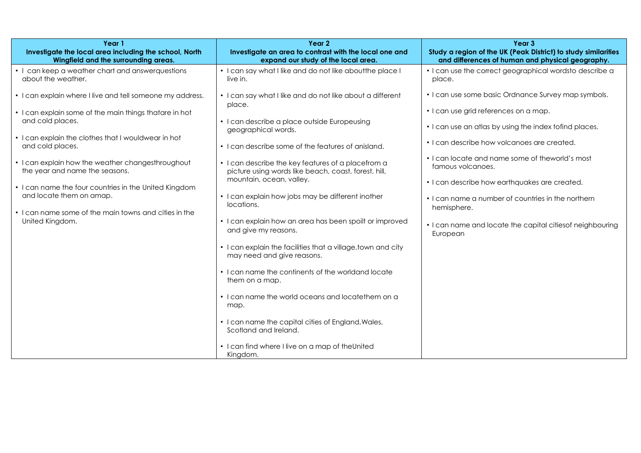| Year 1                                                                                         | Year 2                                                                                                     | Year 3                                                                                                             |
|------------------------------------------------------------------------------------------------|------------------------------------------------------------------------------------------------------------|--------------------------------------------------------------------------------------------------------------------|
| Investigate the local area including the school, North<br>Wingfield and the surrounding areas. | Investigate an area to contrast with the local one and<br>expand our study of the local area.              | Study a region of the UK (Peak District) to study similarities<br>and differences of human and physical geography. |
| • I can keep a weather chart and answerquestions<br>about the weather.                         | • I can say what I like and do not like about the place I<br>live in.                                      | • I can use the correct geographical wordsto describe a<br>place.                                                  |
| • I can explain where I live and tell someone my address.                                      | • I can say what I like and do not like about a different<br>place.                                        | • I can use some basic Ordnance Survey map symbols.                                                                |
| • I can explain some of the main things thatare in hot<br>and cold places.                     | • I can describe a place outside Europeusing                                                               | • I can use grid references on a map.                                                                              |
| • I can explain the clothes that I wouldwear in hot                                            | geographical words.                                                                                        | • I can use an atlas by using the index tofind places.                                                             |
| and cold places.                                                                               | • I can describe some of the features of anisland.                                                         | • I can describe how volcanoes are created.                                                                        |
| • I can explain how the weather changesthroughout<br>the year and name the seasons.            | • I can describe the key features of a placefrom a<br>picture using words like beach, coast, forest, hill, | • I can locate and name some of theworld's most<br>famous volcanoes.                                               |
| • I can name the four countries in the United Kingdom                                          | mountain, ocean, valley.                                                                                   | • I can describe how earthquakes are created.                                                                      |
| and locate them on amap.                                                                       | • I can explain how jobs may be different inother<br>locations.                                            | • I can name a number of countries in the northern<br>hemisphere.                                                  |
| • I can name some of the main towns and cities in the<br>United Kingdom.                       | • I can explain how an area has been spoilt or improved<br>and give my reasons.                            | • I can name and locate the capital cities of neighbouring                                                         |
|                                                                                                | • I can explain the facilities that a village, town and city                                               | European                                                                                                           |
|                                                                                                | may need and give reasons.                                                                                 |                                                                                                                    |
|                                                                                                | • I can name the continents of the worldand locate<br>them on a map.                                       |                                                                                                                    |
|                                                                                                | • I can name the world oceans and locatethem on a<br>map.                                                  |                                                                                                                    |
|                                                                                                | • I can name the capital cities of England, Wales,<br>Scotland and Ireland.                                |                                                                                                                    |
|                                                                                                | • I can find where I live on a map of the United<br>Kingdom.                                               |                                                                                                                    |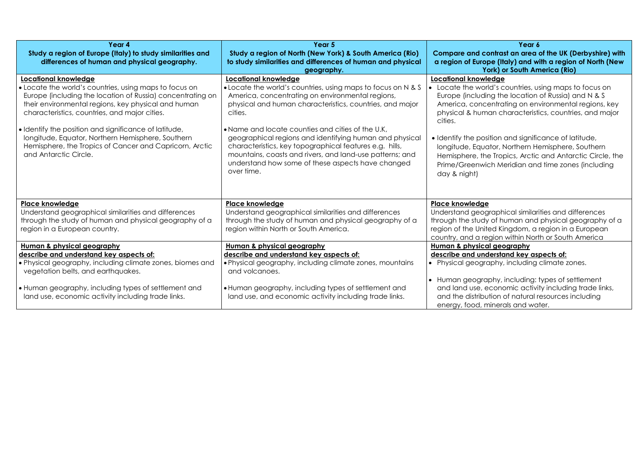| Year 4<br>Study a region of Europe (Italy) to study similarities and<br>differences of human and physical geography.                                                                                                                                                                                                                                                                                                                                   | Year 5<br>Study a region of North (New York) & South America (Rio)<br>to study similarities and differences of human and physical<br>geography.                                                                                                                                                                                                                                                                                                                                                                           | Year 6<br>Compare and contrast an area of the UK (Derbyshire) with<br>a region of Europe (Italy) and with a region of North (New<br>York) or South America (Rio)                                                                                                                                                                                                                                                                                                                                                  |
|--------------------------------------------------------------------------------------------------------------------------------------------------------------------------------------------------------------------------------------------------------------------------------------------------------------------------------------------------------------------------------------------------------------------------------------------------------|---------------------------------------------------------------------------------------------------------------------------------------------------------------------------------------------------------------------------------------------------------------------------------------------------------------------------------------------------------------------------------------------------------------------------------------------------------------------------------------------------------------------------|-------------------------------------------------------------------------------------------------------------------------------------------------------------------------------------------------------------------------------------------------------------------------------------------------------------------------------------------------------------------------------------------------------------------------------------------------------------------------------------------------------------------|
| Locational knowledge<br>• Locate the world's countries, using maps to focus on<br>Europe (including the location of Russia) concentrating on<br>their environmental regions, key physical and human<br>characteristics, countries, and major cities.<br>· Identify the position and significance of latitude,<br>longitude, Equator, Northern Hemisphere, Southern<br>Hemisphere, the Tropics of Cancer and Capricorn, Arctic<br>and Antarctic Circle. | Locational knowledge<br>• Locate the world's countries, using maps to focus on N & S<br>America, concentrating on environmental regions,<br>physical and human characteristics, countries, and major<br>cities.<br>• Name and locate counties and cities of the U.K.<br>geographical regions and identifying human and physical<br>characteristics, key topographical features e.g. hills,<br>mountains, coasts and rivers, and land-use patterns; and<br>understand how some of these aspects have changed<br>over time. | Locational knowledge<br>Locate the world's countries, using maps to focus on<br>Europe (including the location of Russia) and N & S<br>America, concentrating on environmental regions, key<br>physical & human characteristics, countries, and major<br>cities.<br>· Identify the position and significance of latitude,<br>longitude, Equator, Northern Hemisphere, Southern<br>Hemisphere, the Tropics, Arctic and Antarctic Circle, the<br>Prime/Greenwich Meridian and time zones (including<br>day & night) |
| <b>Place knowledge</b><br>Understand geographical similarities and differences<br>through the study of human and physical geography of a<br>region in a European country.                                                                                                                                                                                                                                                                              | <b>Place knowledge</b><br>Understand geographical similarities and differences<br>through the study of human and physical geography of a<br>region within North or South America.                                                                                                                                                                                                                                                                                                                                         | <b>Place knowledge</b><br>Understand geographical similarities and differences<br>through the study of human and physical geography of a<br>region of the United Kingdom, a region in a European<br>country, and a region within North or South America                                                                                                                                                                                                                                                           |
| Human & physical geography<br>describe and understand key aspects of:<br>• Physical geography, including climate zones, biomes and<br>vegetation belts, and earthquakes.<br>. Human geography, including types of settlement and<br>land use, economic activity including trade links.                                                                                                                                                                 | Human & physical geography<br>describe and understand key aspects of:<br>. Physical geography, including climate zones, mountains<br>and volcanoes.<br>• Human geography, including types of settlement and<br>land use, and economic activity including trade links.                                                                                                                                                                                                                                                     | Human & physical geography<br>describe and understand key aspects of:<br>• Physical geography, including climate zones.<br>• Human geography, including: types of settlement<br>and land use, economic activity including trade links,<br>and the distribution of natural resources including<br>energy, food, minerals and water.                                                                                                                                                                                |